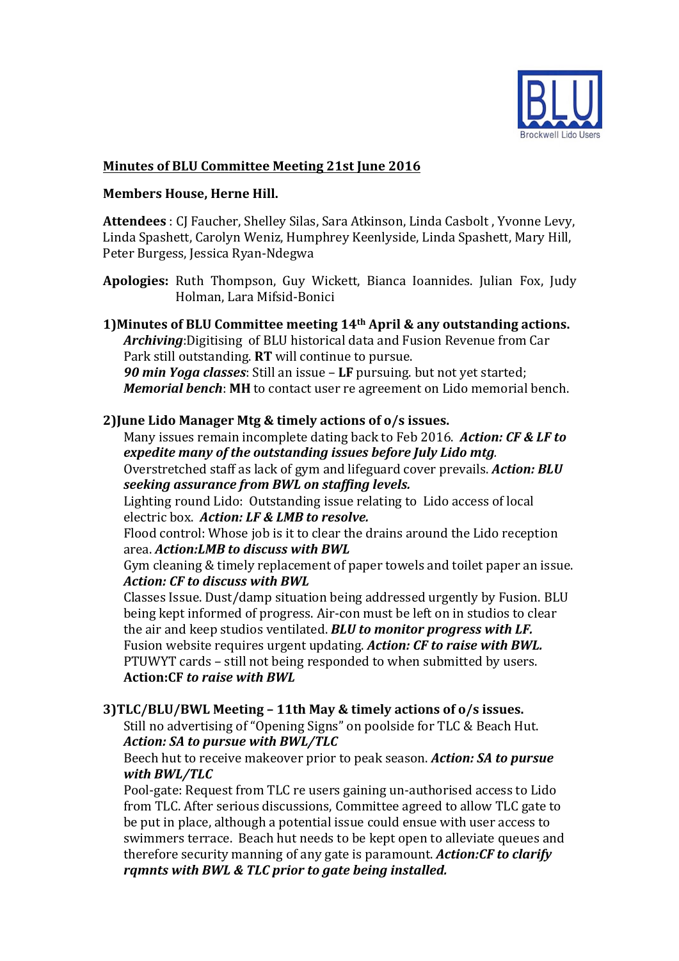

# **Minutes of BLU Committee Meeting 21st June 2016**

### **Members House, Herne Hill.**

Attendees : CJ Faucher, Shelley Silas, Sara Atkinson, Linda Casbolt, Yvonne Levy, Linda Spashett, Carolyn Weniz, Humphrey Keenlyside, Linda Spashett, Mary Hill, Peter Burgess, Jessica Ryan-Ndegwa

Apologies: Ruth Thompson, Guy Wickett, Bianca Ioannides. Julian Fox, Judy Holman, Lara Mifsid-Bonici

**1)Minutes of BLU Committee meeting 14<sup>th</sup> April & any outstanding actions.** Archiving: Digitising of BLU historical data and Fusion Revenue from Car Park still outstanding. **RT** will continue to pursue. **90 min Yoga classes**: Still an issue – LF pursuing. but not yet started; *Memorial bench*: MH to contact user re agreement on Lido memorial bench.

# **2)June Lido Manager Mtg & timely actions of o/s issues.**

Many issues remain incomplete dating back to Feb 2016. *Action: CF & LF to expedite many of the outstanding issues before July Lido mtg.* Overstretched staff as lack of gym and lifeguard cover prevails. *Action: BLU seeking assurance from BWL on staffing levels.*

Lighting round Lido: Outstanding issue relating to Lido access of local electric box. Action: LF & LMB to resolve.

Flood control: Whose job is it to clear the drains around the Lido reception area. *Action:LMB to discuss with BWL*

Gym cleaning & timely replacement of paper towels and toilet paper an issue. *Action: CF to discuss with BWL*

Classes Issue. Dust/damp situation being addressed urgently by Fusion. BLU being kept informed of progress. Air-con must be left on in studios to clear the air and keep studios ventilated. **BLU** to monitor progress with LF. Fusion website requires urgent updating. *Action: CF to raise with BWL.* PTUWYT cards - still not being responded to when submitted by users. Action: CF *to raise with BWL* 

## **3)TLC/BLU/BWL Meeting – 11th May & timely actions of o/s issues.**

Still no advertising of "Opening Signs" on poolside for TLC & Beach Hut. *Action: SA to pursue with BWL/TLC* 

Beech hut to receive makeover prior to peak season. *Action:* SA to pursue *with BWL/TLC*

Pool-gate: Request from TLC re users gaining un-authorised access to Lido from TLC. After serious discussions, Committee agreed to allow TLC gate to be put in place, although a potential issue could ensue with user access to swimmers terrace. Beach hut needs to be kept open to alleviate queues and therefore security manning of any gate is paramount. *Action:CF* to clarify *ramnts* with BWL & TLC prior to aate being installed.